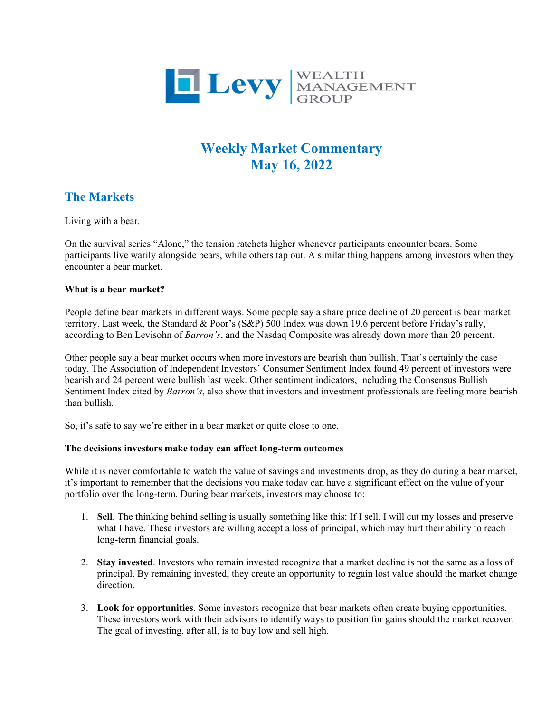

# **Weekly Market Commentary May 16, 2022**

## **The Markets**

Living with a bear.

On the survival series "Alone," the tension ratchets higher whenever participants encounter bears. Some participants live warily alongside bears, while others tap out. A similar thing happens among investors when they encounter a bear market.

### **What is a bear market?**

People define bear markets in different ways. Some people say a share price decline of 20 percent is bear market territory. Last week, the Standard & Poor's (S&P) 500 Index was down 19.6 percent before Friday's rally, according to Ben Levisohn of *Barron's*, and the Nasdaq Composite was already down more than 20 percent.

Other people say a bear market occurs when more investors are bearish than bullish. That's certainly the case today. The Association of Independent Investors' Consumer Sentiment Index found 49 percent of investors were bearish and 24 percent were bullish last week. Other sentiment indicators, including the Consensus Bullish Sentiment Index cited by *Barron's*, also show that investors and investment professionals are feeling more bearish than bullish.

So, it's safe to say we're either in a bear market or quite close to one.

### **The decisions investors make today can affect long-term outcomes**

While it is never comfortable to watch the value of savings and investments drop, as they do during a bear market, it's important to remember that the decisions you make today can have a significant effect on the value of your portfolio over the long-term. During bear markets, investors may choose to:

- 1. **Sell**. The thinking behind selling is usually something like this: If I sell, I will cut my losses and preserve what I have. These investors are willing accept a loss of principal, which may hurt their ability to reach long-term financial goals.
- 2. **Stay invested**. Investors who remain invested recognize that a market decline is not the same as a loss of principal. By remaining invested, they create an opportunity to regain lost value should the market change direction.
- 3. **Look for opportunities**. Some investors recognize that bear markets often create buying opportunities. These investors work with their advisors to identify ways to position for gains should the market recover. The goal of investing, after all, is to buy low and sell high.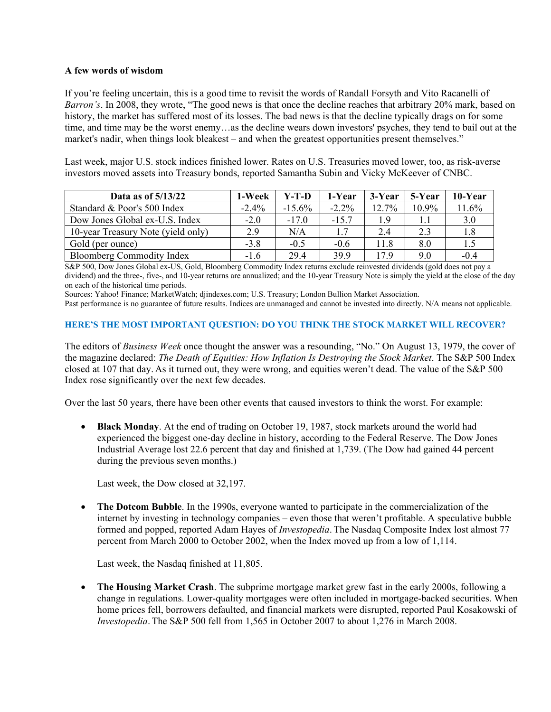#### **A few words of wisdom**

If you're feeling uncertain, this is a good time to revisit the words of Randall Forsyth and Vito Racanelli of *Barron's*. In 2008, they wrote, "The good news is that once the decline reaches that arbitrary 20% mark, based on history, the market has suffered most of its losses. The bad news is that the decline typically drags on for some time, and time may be the worst enemy…as the decline wears down investors' psyches, they tend to bail out at the market's nadir, when things look bleakest – and when the greatest opportunities present themselves."

Last week, major U.S. stock indices finished lower. Rates on U.S. Treasuries moved lower, too, as risk-averse investors moved assets into Treasury bonds, reported Samantha Subin and Vicky McKeever of CNBC.

| Data as of 5/13/22                 | 1-Week   | Y-T-D     | 1-Year   | 3-Year | 5-Year   | 10-Year |
|------------------------------------|----------|-----------|----------|--------|----------|---------|
| Standard & Poor's 500 Index        | $-2.4\%$ | $-15.6\%$ | $-2.2\%$ | 12.7%  | $10.9\%$ | 11.6%   |
| Dow Jones Global ex-U.S. Index     | $-2.0$   | $-17.0$   | $-15.7$  | 1.9    |          | 3.0     |
| 10-year Treasury Note (yield only) | 2.9      | N/A       | 1.7      | 2.4    | 2.3      | 1.8     |
| Gold (per ounce)                   | $-3.8$   | $-0.5$    | $-0.6$   | 11.8   | 8.0      | 1.5     |
| <b>Bloomberg Commodity Index</b>   | $-1.6$   | 29.4      | 39.9     | 17.9   | 9.0      | $-0.4$  |

S&P 500, Dow Jones Global ex-US, Gold, Bloomberg Commodity Index returns exclude reinvested dividends (gold does not pay a dividend) and the three-, five-, and 10-year returns are annualized; and the 10-year Treasury Note is simply the yield at the close of the day on each of the historical time periods.

Sources: Yahoo! Finance; MarketWatch; djindexes.com; U.S. Treasury; London Bullion Market Association.

Past performance is no guarantee of future results. Indices are unmanaged and cannot be invested into directly. N/A means not applicable.

#### **HERE'S THE MOST IMPORTANT QUESTION: DO YOU THINK THE STOCK MARKET WILL RECOVER?**

The editors of *Business Week* once thought the answer was a resounding, "No." On August 13, 1979, the cover of the magazine declared: *The Death of Equities: How Inflation Is Destroying the Stock Market*. The S&P 500 Index closed at 107 that day. As it turned out, they were wrong, and equities weren't dead. The value of the S&P 500 Index rose significantly over the next few decades.

Over the last 50 years, there have been other events that caused investors to think the worst. For example:

• **Black Monday**. At the end of trading on October 19, 1987, stock markets around the world had experienced the biggest one-day decline in history, according to the Federal Reserve. The Dow Jones Industrial Average lost 22.6 percent that day and finished at 1,739. (The Dow had gained 44 percent during the previous seven months.)

Last week, the Dow closed at 32,197.

• **The Dotcom Bubble**. In the 1990s, everyone wanted to participate in the commercialization of the internet by investing in technology companies – even those that weren't profitable. A speculative bubble formed and popped, reported Adam Hayes of *Investopedia*. The Nasdaq Composite Index lost almost 77 percent from March 2000 to October 2002, when the Index moved up from a low of 1,114.

Last week, the Nasdaq finished at 11,805.

• **The Housing Market Crash**. The subprime mortgage market grew fast in the early 2000s, following a change in regulations. Lower-quality mortgages were often included in mortgage-backed securities. When home prices fell, borrowers defaulted, and financial markets were disrupted, reported Paul Kosakowski of *Investopedia*. The S&P 500 fell from 1,565 in October 2007 to about 1,276 in March 2008.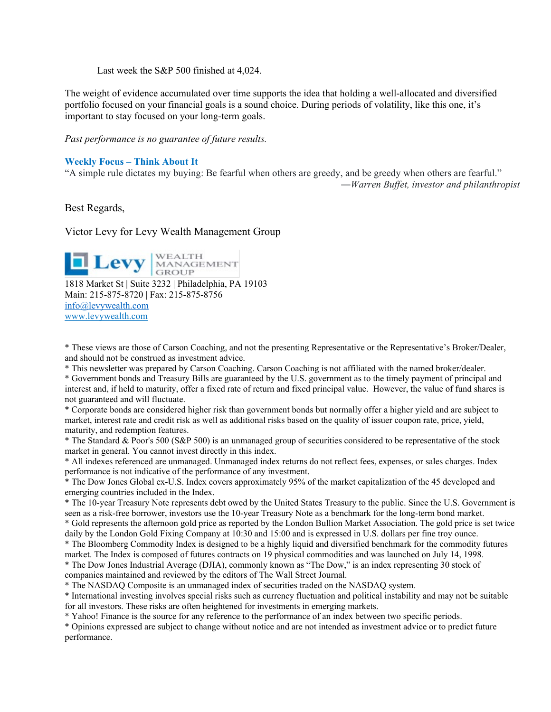Last week the S&P 500 finished at 4,024.

The weight of evidence accumulated over time supports the idea that holding a well-allocated and diversified portfolio focused on your financial goals is a sound choice. During periods of volatility, like this one, it's important to stay focused on your long-term goals.

*Past performance is no guarantee of future results.* 

#### **Weekly Focus – Think About It**

"A simple rule dictates my buying: Be fearful when others are greedy, and be greedy when others are fearful."

*―Warren Buffet, investor and philanthropist*

Best Regards,

Victor Levy for Levy Wealth Management Group

**Levy** MANAGEMENT 1818 Market St | Suite 3232 | Philadelphia, PA 19103 Main: 215-875-8720 | Fax: 215-875-8756 [info@levywealth.com](mailto:info@levywealth.com) [www.levywealth.com](http://www.levywealth.com/)

\* These views are those of Carson Coaching, and not the presenting Representative or the Representative's Broker/Dealer, and should not be construed as investment advice.

\* This newsletter was prepared by Carson Coaching. Carson Coaching is not affiliated with the named broker/dealer.

\* Government bonds and Treasury Bills are guaranteed by the U.S. government as to the timely payment of principal and interest and, if held to maturity, offer a fixed rate of return and fixed principal value. However, the value of fund shares is not guaranteed and will fluctuate.

\* Corporate bonds are considered higher risk than government bonds but normally offer a higher yield and are subject to market, interest rate and credit risk as well as additional risks based on the quality of issuer coupon rate, price, yield, maturity, and redemption features.

\* The Standard & Poor's 500 (S&P 500) is an unmanaged group of securities considered to be representative of the stock market in general. You cannot invest directly in this index.

\* All indexes referenced are unmanaged. Unmanaged index returns do not reflect fees, expenses, or sales charges. Index performance is not indicative of the performance of any investment.

\* The Dow Jones Global ex-U.S. Index covers approximately 95% of the market capitalization of the 45 developed and emerging countries included in the Index.

\* The 10-year Treasury Note represents debt owed by the United States Treasury to the public. Since the U.S. Government is seen as a risk-free borrower, investors use the 10-year Treasury Note as a benchmark for the long-term bond market.

\* Gold represents the afternoon gold price as reported by the London Bullion Market Association. The gold price is set twice daily by the London Gold Fixing Company at 10:30 and 15:00 and is expressed in U.S. dollars per fine troy ounce.

\* The Bloomberg Commodity Index is designed to be a highly liquid and diversified benchmark for the commodity futures market. The Index is composed of futures contracts on 19 physical commodities and was launched on July 14, 1998. \* The Dow Jones Industrial Average (DJIA), commonly known as "The Dow," is an index representing 30 stock of

companies maintained and reviewed by the editors of The Wall Street Journal. \* The NASDAQ Composite is an unmanaged index of securities traded on the NASDAQ system.

\* International investing involves special risks such as currency fluctuation and political instability and may not be suitable for all investors. These risks are often heightened for investments in emerging markets.

\* Yahoo! Finance is the source for any reference to the performance of an index between two specific periods.

\* Opinions expressed are subject to change without notice and are not intended as investment advice or to predict future performance.